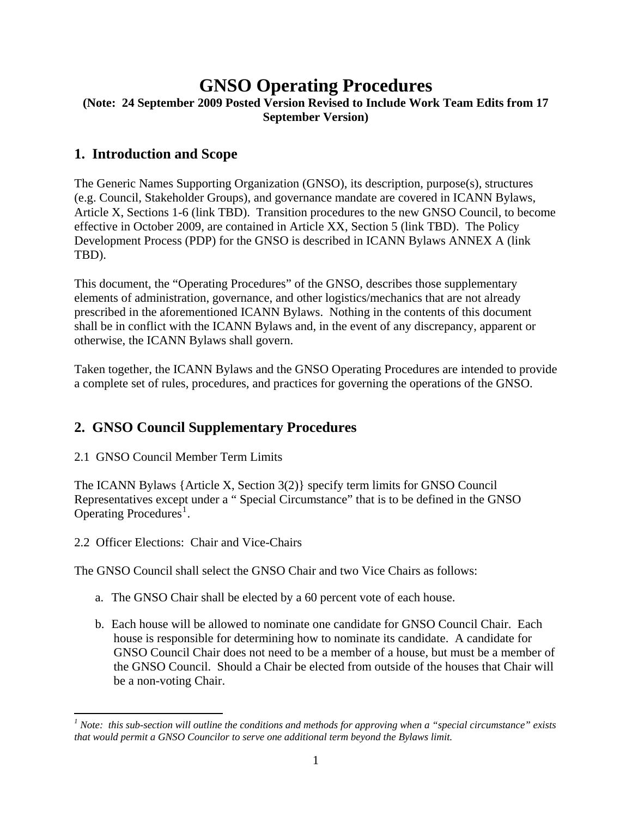# **GNSO Operating Procedures**

### **(Note: 24 September 2009 Posted Version Revised to Include Work Team Edits from 17 September Version)**

### **1. Introduction and Scope**

The Generic Names Supporting Organization (GNSO), its description, purpose(s), structures (e.g. Council, Stakeholder Groups), and governance mandate are covered in ICANN Bylaws, Article X, Sections 1-6 (link TBD). Transition procedures to the new GNSO Council, to become effective in October 2009, are contained in Article XX, Section 5 (link TBD). The Policy Development Process (PDP) for the GNSO is described in ICANN Bylaws ANNEX A (link TBD).

This document, the "Operating Procedures" of the GNSO, describes those supplementary elements of administration, governance, and other logistics/mechanics that are not already prescribed in the aforementioned ICANN Bylaws. Nothing in the contents of this document shall be in conflict with the ICANN Bylaws and, in the event of any discrepancy, apparent or otherwise, the ICANN Bylaws shall govern.

Taken together, the ICANN Bylaws and the GNSO Operating Procedures are intended to provide a complete set of rules, procedures, and practices for governing the operations of the GNSO.

# **2. GNSO Council Supplementary Procedures**

2.1 GNSO Council Member Term Limits

The ICANN Bylaws {Article X, Section 3(2)} specify term limits for GNSO Council Representatives except under a " Special Circumstance" that is to be defined in the GNSO Operating Procedures<sup>[1](#page-0-0)</sup>.

2.2 Officer Elections: Chair and Vice-Chairs

The GNSO Council shall select the GNSO Chair and two Vice Chairs as follows:

- a. The GNSO Chair shall be elected by a 60 percent vote of each house.
- b. Each house will be allowed to nominate one candidate for GNSO Council Chair. Each house is responsible for determining how to nominate its candidate. A candidate for GNSO Council Chair does not need to be a member of a house, but must be a member of the GNSO Council. Should a Chair be elected from outside of the houses that Chair will be a non-voting Chair.

<span id="page-0-0"></span> *1 Note: this sub-section will outline the conditions and methods for approving when a "special circumstance" exists that would permit a GNSO Councilor to serve one additional term beyond the Bylaws limit.*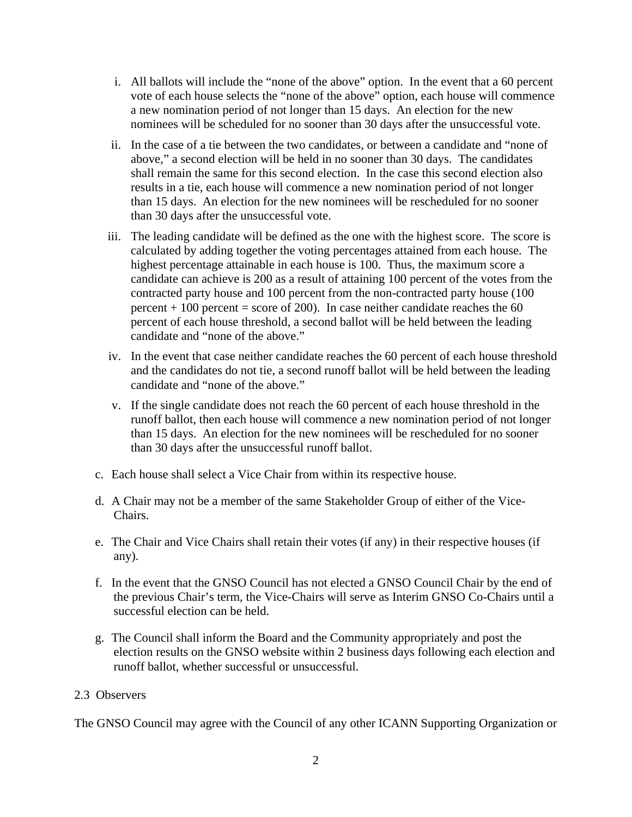- i. All ballots will include the "none of the above" option. In the event that a 60 percent vote of each house selects the "none of the above" option, each house will commence a new nomination period of not longer than 15 days. An election for the new nominees will be scheduled for no sooner than 30 days after the unsuccessful vote.
- ii. In the case of a tie between the two candidates, or between a candidate and "none of above," a second election will be held in no sooner than 30 days. The candidates shall remain the same for this second election. In the case this second election also results in a tie, each house will commence a new nomination period of not longer than 15 days. An election for the new nominees will be rescheduled for no sooner than 30 days after the unsuccessful vote.
- iii. The leading candidate will be defined as the one with the highest score. The score is calculated by adding together the voting percentages attained from each house. The highest percentage attainable in each house is 100. Thus, the maximum score a candidate can achieve is 200 as a result of attaining 100 percent of the votes from the contracted party house and 100 percent from the non-contracted party house (100 percent  $+100$  percent = score of 200). In case neither candidate reaches the 60 percent of each house threshold, a second ballot will be held between the leading candidate and "none of the above."
- iv. In the event that case neither candidate reaches the 60 percent of each house threshold and the candidates do not tie, a second runoff ballot will be held between the leading candidate and "none of the above."
- v. If the single candidate does not reach the 60 percent of each house threshold in the runoff ballot, then each house will commence a new nomination period of not longer than 15 days. An election for the new nominees will be rescheduled for no sooner than 30 days after the unsuccessful runoff ballot.
- c. Each house shall select a Vice Chair from within its respective house.
- d. A Chair may not be a member of the same Stakeholder Group of either of the Vice-Chairs.
- e. The Chair and Vice Chairs shall retain their votes (if any) in their respective houses (if any).
- f. In the event that the GNSO Council has not elected a GNSO Council Chair by the end of the previous Chair's term, the Vice-Chairs will serve as Interim GNSO Co-Chairs until a successful election can be held.
- g. The Council shall inform the Board and the Community appropriately and post the election results on the GNSO website within 2 business days following each election and runoff ballot, whether successful or unsuccessful.

#### 2.3 Observers

The GNSO Council may agree with the Council of any other ICANN Supporting Organization or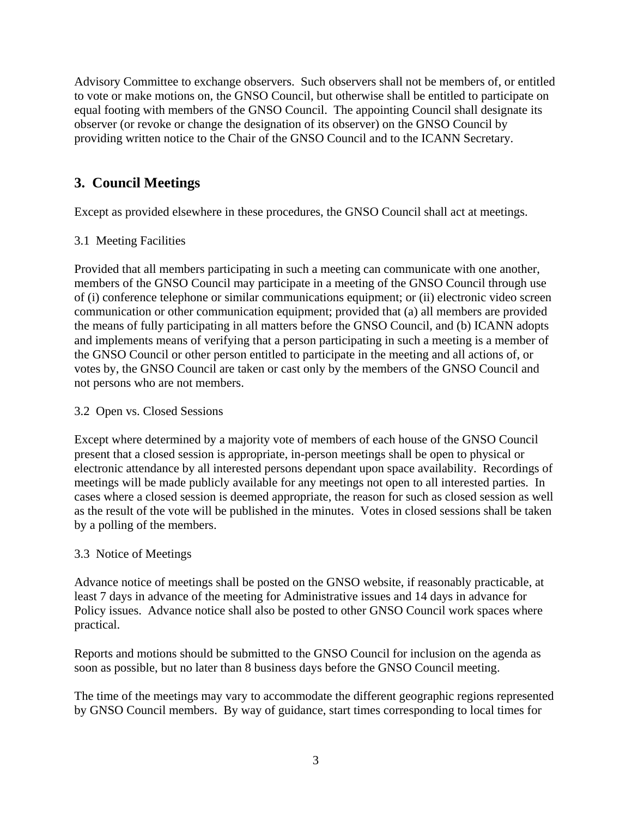Advisory Committee to exchange observers. Such observers shall not be members of, or entitled to vote or make motions on, the GNSO Council, but otherwise shall be entitled to participate on equal footing with members of the GNSO Council. The appointing Council shall designate its observer (or revoke or change the designation of its observer) on the GNSO Council by providing written notice to the Chair of the GNSO Council and to the ICANN Secretary.

# **3. Council Meetings**

Except as provided elsewhere in these procedures, the GNSO Council shall act at meetings.

#### 3.1 Meeting Facilities

Provided that all members participating in such a meeting can communicate with one another, members of the GNSO Council may participate in a meeting of the GNSO Council through use of (i) conference telephone or similar communications equipment; or (ii) electronic video screen communication or other communication equipment; provided that (a) all members are provided the means of fully participating in all matters before the GNSO Council, and (b) ICANN adopts and implements means of verifying that a person participating in such a meeting is a member of the GNSO Council or other person entitled to participate in the meeting and all actions of, or votes by, the GNSO Council are taken or cast only by the members of the GNSO Council and not persons who are not members.

#### 3.2 Open vs. Closed Sessions

Except where determined by a majority vote of members of each house of the GNSO Council present that a closed session is appropriate, in-person meetings shall be open to physical or electronic attendance by all interested persons dependant upon space availability. Recordings of meetings will be made publicly available for any meetings not open to all interested parties. In cases where a closed session is deemed appropriate, the reason for such as closed session as well as the result of the vote will be published in the minutes. Votes in closed sessions shall be taken by a polling of the members.

#### 3.3 Notice of Meetings

Advance notice of meetings shall be posted on the GNSO website, if reasonably practicable, at least 7 days in advance of the meeting for Administrative issues and 14 days in advance for Policy issues. Advance notice shall also be posted to other GNSO Council work spaces where practical.

Reports and motions should be submitted to the GNSO Council for inclusion on the agenda as soon as possible, but no later than 8 business days before the GNSO Council meeting.

The time of the meetings may vary to accommodate the different geographic regions represented by GNSO Council members. By way of guidance, start times corresponding to local times for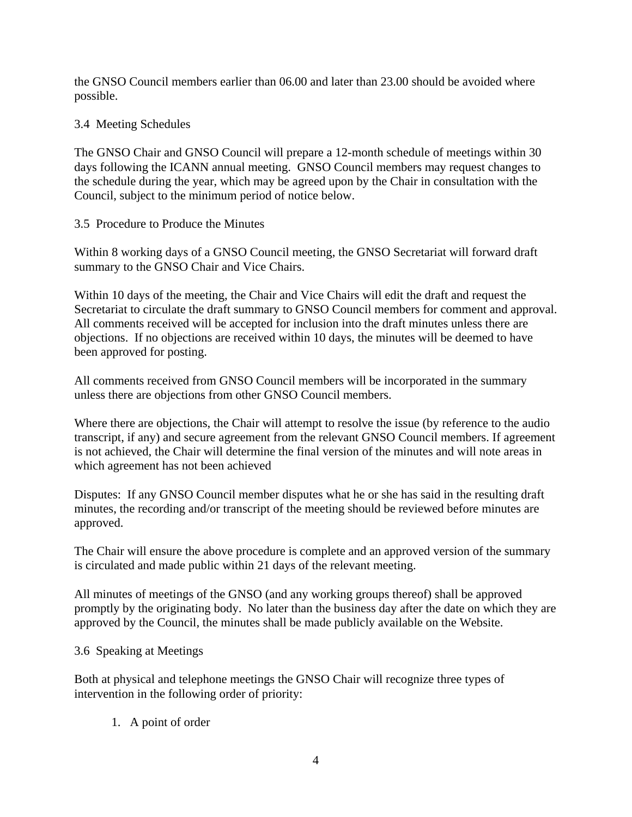the GNSO Council members earlier than 06.00 and later than 23.00 should be avoided where possible.

#### 3.4 Meeting Schedules

The GNSO Chair and GNSO Council will prepare a 12-month schedule of meetings within 30 days following the ICANN annual meeting. GNSO Council members may request changes to the schedule during the year, which may be agreed upon by the Chair in consultation with the Council, subject to the minimum period of notice below.

#### 3.5 Procedure to Produce the Minutes

Within 8 working days of a GNSO Council meeting, the GNSO Secretariat will forward draft summary to the GNSO Chair and Vice Chairs.

Within 10 days of the meeting, the Chair and Vice Chairs will edit the draft and request the Secretariat to circulate the draft summary to GNSO Council members for comment and approval. All comments received will be accepted for inclusion into the draft minutes unless there are objections. If no objections are received within 10 days, the minutes will be deemed to have been approved for posting.

All comments received from GNSO Council members will be incorporated in the summary unless there are objections from other GNSO Council members.

Where there are objections, the Chair will attempt to resolve the issue (by reference to the audio transcript, if any) and secure agreement from the relevant GNSO Council members. If agreement is not achieved, the Chair will determine the final version of the minutes and will note areas in which agreement has not been achieved

Disputes: If any GNSO Council member disputes what he or she has said in the resulting draft minutes, the recording and/or transcript of the meeting should be reviewed before minutes are approved.

The Chair will ensure the above procedure is complete and an approved version of the summary is circulated and made public within 21 days of the relevant meeting.

All minutes of meetings of the GNSO (and any working groups thereof) shall be approved promptly by the originating body. No later than the business day after the date on which they are approved by the Council, the minutes shall be made publicly available on the Website.

3.6 Speaking at Meetings

Both at physical and telephone meetings the GNSO Chair will recognize three types of intervention in the following order of priority:

1. A point of order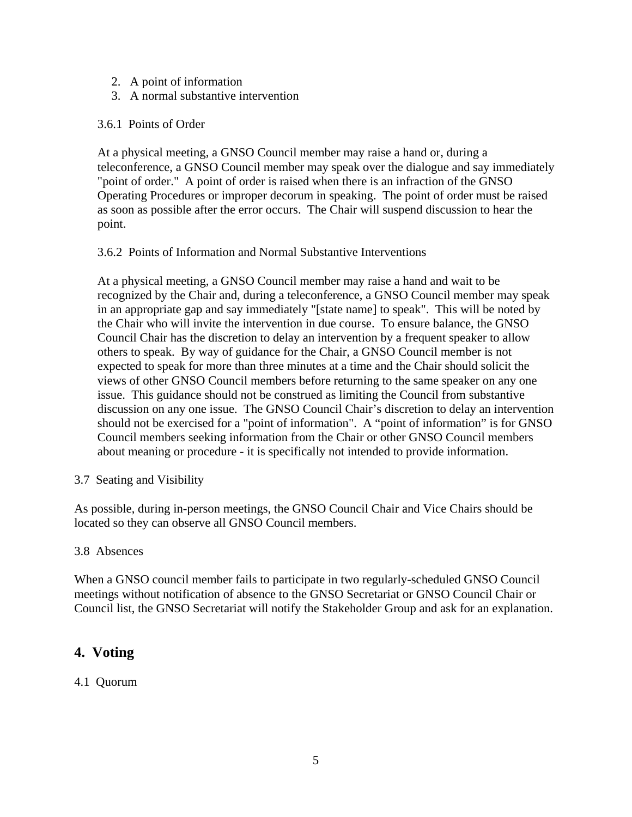- 2. A point of information
- 3. A normal substantive intervention

#### 3.6.1 Points of Order

At a physical meeting, a GNSO Council member may raise a hand or, during a teleconference, a GNSO Council member may speak over the dialogue and say immediately "point of order." A point of order is raised when there is an infraction of the GNSO Operating Procedures or improper decorum in speaking. The point of order must be raised as soon as possible after the error occurs. The Chair will suspend discussion to hear the point.

#### 3.6.2 Points of Information and Normal Substantive Interventions

At a physical meeting, a GNSO Council member may raise a hand and wait to be recognized by the Chair and, during a teleconference, a GNSO Council member may speak in an appropriate gap and say immediately "[state name] to speak". This will be noted by the Chair who will invite the intervention in due course. To ensure balance, the GNSO Council Chair has the discretion to delay an intervention by a frequent speaker to allow others to speak. By way of guidance for the Chair, a GNSO Council member is not expected to speak for more than three minutes at a time and the Chair should solicit the views of other GNSO Council members before returning to the same speaker on any one issue. This guidance should not be construed as limiting the Council from substantive discussion on any one issue. The GNSO Council Chair's discretion to delay an intervention should not be exercised for a "point of information". A "point of information" is for GNSO Council members seeking information from the Chair or other GNSO Council members about meaning or procedure - it is specifically not intended to provide information.

#### 3.7 Seating and Visibility

As possible, during in-person meetings, the GNSO Council Chair and Vice Chairs should be located so they can observe all GNSO Council members.

#### 3.8 Absences

When a GNSO council member fails to participate in two regularly-scheduled GNSO Council meetings without notification of absence to the GNSO Secretariat or GNSO Council Chair or Council list, the GNSO Secretariat will notify the Stakeholder Group and ask for an explanation.

## **4. Voting**

#### 4.1 Quorum